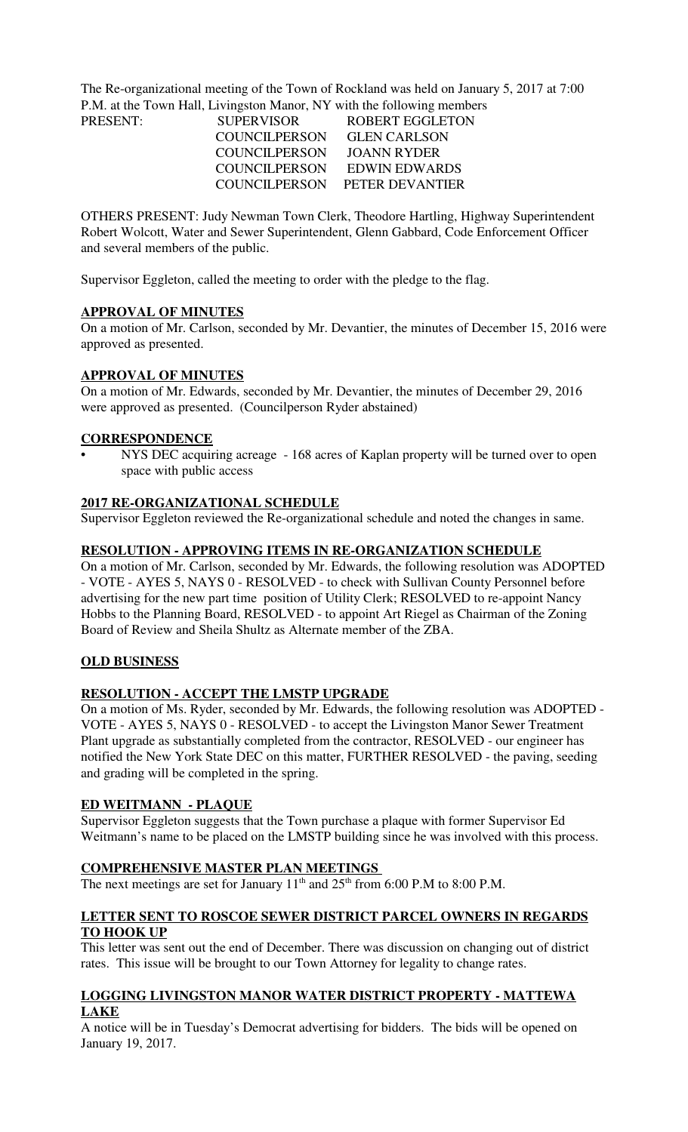The Re-organizational meeting of the Town of Rockland was held on January 5, 2017 at 7:00 P.M. at the Town Hall, Livingston Manor, NY with the following members

| PRESENT: | <b>SUPERVISOR</b>    | ROBERT EGGLETON               |
|----------|----------------------|-------------------------------|
|          | <b>COUNCILPERSON</b> | <b>GLEN CARLSON</b>           |
|          | COUNCILPERSON        | JOANN RYDER                   |
|          | COUNCILPERSON        | <b>EDWIN EDWARDS</b>          |
|          |                      | COUNCILPERSON PETER DEVANTIER |

OTHERS PRESENT: Judy Newman Town Clerk, Theodore Hartling, Highway Superintendent Robert Wolcott, Water and Sewer Superintendent, Glenn Gabbard, Code Enforcement Officer and several members of the public.

Supervisor Eggleton, called the meeting to order with the pledge to the flag.

### **APPROVAL OF MINUTES**

On a motion of Mr. Carlson, seconded by Mr. Devantier, the minutes of December 15, 2016 were approved as presented.

### **APPROVAL OF MINUTES**

On a motion of Mr. Edwards, seconded by Mr. Devantier, the minutes of December 29, 2016 were approved as presented. (Councilperson Ryder abstained)

### **CORRESPONDENCE**

NYS DEC acquiring acreage - 168 acres of Kaplan property will be turned over to open space with public access

### **2017 RE-ORGANIZATIONAL SCHEDULE**

Supervisor Eggleton reviewed the Re-organizational schedule and noted the changes in same.

### **RESOLUTION - APPROVING ITEMS IN RE-ORGANIZATION SCHEDULE**

On a motion of Mr. Carlson, seconded by Mr. Edwards, the following resolution was ADOPTED - VOTE - AYES 5, NAYS 0 - RESOLVED - to check with Sullivan County Personnel before advertising for the new part time position of Utility Clerk; RESOLVED to re-appoint Nancy Hobbs to the Planning Board, RESOLVED - to appoint Art Riegel as Chairman of the Zoning Board of Review and Sheila Shultz as Alternate member of the ZBA.

## **OLD BUSINESS**

## **RESOLUTION - ACCEPT THE LMSTP UPGRADE**

On a motion of Ms. Ryder, seconded by Mr. Edwards, the following resolution was ADOPTED - VOTE - AYES 5, NAYS 0 - RESOLVED - to accept the Livingston Manor Sewer Treatment Plant upgrade as substantially completed from the contractor, RESOLVED - our engineer has notified the New York State DEC on this matter, FURTHER RESOLVED - the paving, seeding and grading will be completed in the spring.

### **ED WEITMANN - PLAQUE**

Supervisor Eggleton suggests that the Town purchase a plaque with former Supervisor Ed Weitmann's name to be placed on the LMSTP building since he was involved with this process.

### **COMPREHENSIVE MASTER PLAN MEETINGS**

The next meetings are set for January  $11<sup>th</sup>$  and  $25<sup>th</sup>$  from 6:00 P.M to 8:00 P.M.

### **LETTER SENT TO ROSCOE SEWER DISTRICT PARCEL OWNERS IN REGARDS TO HOOK UP**

This letter was sent out the end of December. There was discussion on changing out of district rates. This issue will be brought to our Town Attorney for legality to change rates.

### **LOGGING LIVINGSTON MANOR WATER DISTRICT PROPERTY - MATTEWA LAKE**

A notice will be in Tuesday's Democrat advertising for bidders. The bids will be opened on January 19, 2017.